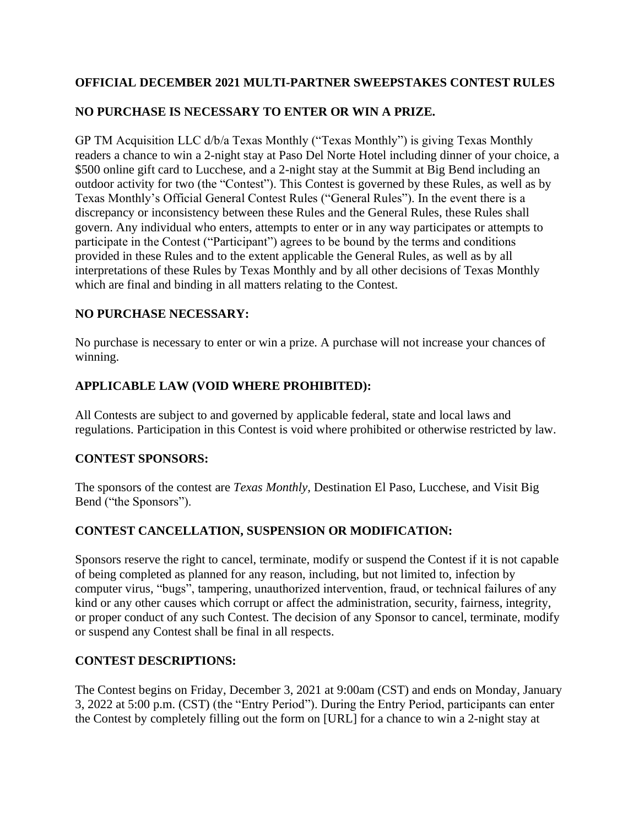## **OFFICIAL DECEMBER 2021 MULTI-PARTNER SWEEPSTAKES CONTEST RULES**

## **NO PURCHASE IS NECESSARY TO ENTER OR WIN A PRIZE.**

GP TM Acquisition LLC d/b/a Texas Monthly ("Texas Monthly") is giving Texas Monthly readers a chance to win a 2-night stay at Paso Del Norte Hotel including dinner of your choice, a \$500 online gift card to Lucchese, and a 2-night stay at the Summit at Big Bend including an outdoor activity for two (the "Contest"). This Contest is governed by these Rules, as well as by Texas Monthly's Official General Contest Rules ("General Rules"). In the event there is a discrepancy or inconsistency between these Rules and the General Rules, these Rules shall govern. Any individual who enters, attempts to enter or in any way participates or attempts to participate in the Contest ("Participant") agrees to be bound by the terms and conditions provided in these Rules and to the extent applicable the General Rules, as well as by all interpretations of these Rules by Texas Monthly and by all other decisions of Texas Monthly which are final and binding in all matters relating to the Contest.

### **NO PURCHASE NECESSARY:**

No purchase is necessary to enter or win a prize. A purchase will not increase your chances of winning.

### **APPLICABLE LAW (VOID WHERE PROHIBITED):**

All Contests are subject to and governed by applicable federal, state and local laws and regulations. Participation in this Contest is void where prohibited or otherwise restricted by law.

### **CONTEST SPONSORS:**

The sponsors of the contest are *Texas Monthly,* Destination El Paso, Lucchese, and Visit Big Bend ("the Sponsors").

### **CONTEST CANCELLATION, SUSPENSION OR MODIFICATION:**

Sponsors reserve the right to cancel, terminate, modify or suspend the Contest if it is not capable of being completed as planned for any reason, including, but not limited to, infection by computer virus, "bugs", tampering, unauthorized intervention, fraud, or technical failures of any kind or any other causes which corrupt or affect the administration, security, fairness, integrity, or proper conduct of any such Contest. The decision of any Sponsor to cancel, terminate, modify or suspend any Contest shall be final in all respects.

### **CONTEST DESCRIPTIONS:**

The Contest begins on Friday, December 3, 2021 at 9:00am (CST) and ends on Monday, January 3, 2022 at 5:00 p.m. (CST) (the "Entry Period"). During the Entry Period, participants can enter the Contest by completely filling out the form on [URL] for a chance to win a 2-night stay at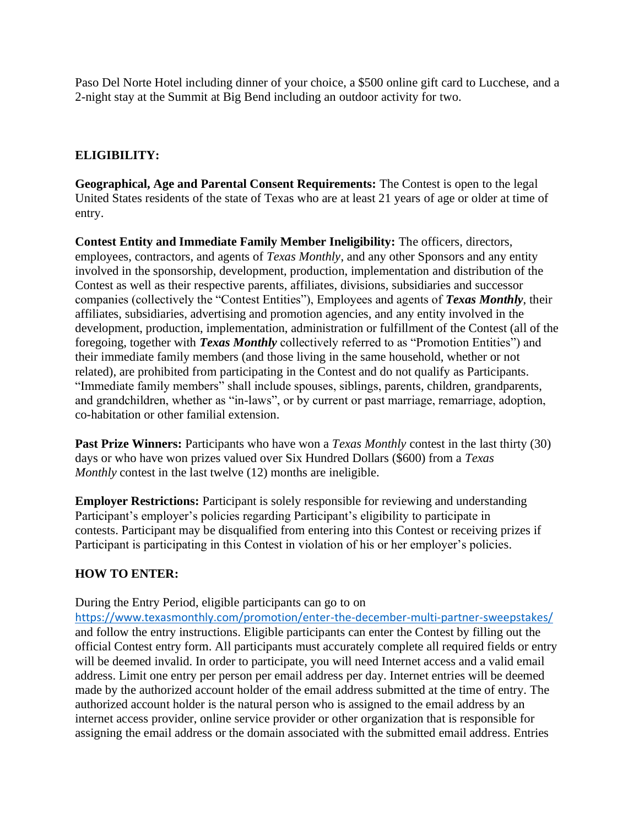Paso Del Norte Hotel including dinner of your choice, a \$500 online gift card to Lucchese, and a 2-night stay at the Summit at Big Bend including an outdoor activity for two.

### **ELIGIBILITY:**

**Geographical, Age and Parental Consent Requirements:** The Contest is open to the legal United States residents of the state of Texas who are at least 21 years of age or older at time of entry.

**Contest Entity and Immediate Family Member Ineligibility:** The officers, directors, employees, contractors, and agents of *Texas Monthly*, and any other Sponsors and any entity involved in the sponsorship, development, production, implementation and distribution of the Contest as well as their respective parents, affiliates, divisions, subsidiaries and successor companies (collectively the "Contest Entities"), Employees and agents of *Texas Monthly*, their affiliates, subsidiaries, advertising and promotion agencies, and any entity involved in the development, production, implementation, administration or fulfillment of the Contest (all of the foregoing, together with *Texas Monthly* collectively referred to as "Promotion Entities") and their immediate family members (and those living in the same household, whether or not related), are prohibited from participating in the Contest and do not qualify as Participants. "Immediate family members" shall include spouses, siblings, parents, children, grandparents, and grandchildren, whether as "in-laws", or by current or past marriage, remarriage, adoption, co-habitation or other familial extension.

**Past Prize Winners:** Participants who have won a *Texas Monthly* contest in the last thirty (30) days or who have won prizes valued over Six Hundred Dollars (\$600) from a *Texas Monthly* contest in the last twelve (12) months are ineligible.

**Employer Restrictions:** Participant is solely responsible for reviewing and understanding Participant's employer's policies regarding Participant's eligibility to participate in contests. Participant may be disqualified from entering into this Contest or receiving prizes if Participant is participating in this Contest in violation of his or her employer's policies.

### **HOW TO ENTER:**

During the Entry Period, eligible participants can go to on

<https://www.texasmonthly.com/promotion/enter-the-december-multi-partner-sweepstakes/> and follow the entry instructions. Eligible participants can enter the Contest by filling out the official Contest entry form. All participants must accurately complete all required fields or entry will be deemed invalid. In order to participate, you will need Internet access and a valid email address. Limit one entry per person per email address per day. Internet entries will be deemed made by the authorized account holder of the email address submitted at the time of entry. The authorized account holder is the natural person who is assigned to the email address by an internet access provider, online service provider or other organization that is responsible for assigning the email address or the domain associated with the submitted email address. Entries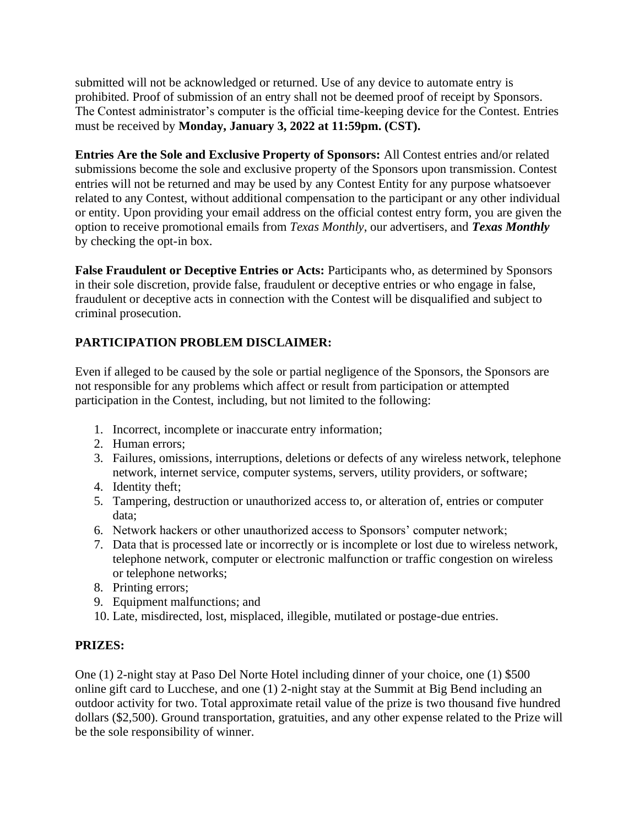submitted will not be acknowledged or returned. Use of any device to automate entry is prohibited. Proof of submission of an entry shall not be deemed proof of receipt by Sponsors. The Contest administrator's computer is the official time-keeping device for the Contest. Entries must be received by **Monday, January 3, 2022 at 11:59pm. (CST).**

**Entries Are the Sole and Exclusive Property of Sponsors:** All Contest entries and/or related submissions become the sole and exclusive property of the Sponsors upon transmission. Contest entries will not be returned and may be used by any Contest Entity for any purpose whatsoever related to any Contest, without additional compensation to the participant or any other individual or entity. Upon providing your email address on the official contest entry form, you are given the option to receive promotional emails from *Texas Monthly*, our advertisers, and *Texas Monthly*  by checking the opt-in box.

**False Fraudulent or Deceptive Entries or Acts:** Participants who, as determined by Sponsors in their sole discretion, provide false, fraudulent or deceptive entries or who engage in false, fraudulent or deceptive acts in connection with the Contest will be disqualified and subject to criminal prosecution.

# **PARTICIPATION PROBLEM DISCLAIMER:**

Even if alleged to be caused by the sole or partial negligence of the Sponsors, the Sponsors are not responsible for any problems which affect or result from participation or attempted participation in the Contest, including, but not limited to the following:

- 1. Incorrect, incomplete or inaccurate entry information;
- 2. Human errors;
- 3. Failures, omissions, interruptions, deletions or defects of any wireless network, telephone network, internet service, computer systems, servers, utility providers, or software;
- 4. Identity theft;
- 5. Tampering, destruction or unauthorized access to, or alteration of, entries or computer data;
- 6. Network hackers or other unauthorized access to Sponsors' computer network;
- 7. Data that is processed late or incorrectly or is incomplete or lost due to wireless network, telephone network, computer or electronic malfunction or traffic congestion on wireless or telephone networks;
- 8. Printing errors;
- 9. Equipment malfunctions; and
- 10. Late, misdirected, lost, misplaced, illegible, mutilated or postage-due entries.

## **PRIZES:**

One (1) 2-night stay at Paso Del Norte Hotel including dinner of your choice, one (1) \$500 online gift card to Lucchese, and one (1) 2-night stay at the Summit at Big Bend including an outdoor activity for two. Total approximate retail value of the prize is two thousand five hundred dollars (\$2,500). Ground transportation, gratuities, and any other expense related to the Prize will be the sole responsibility of winner.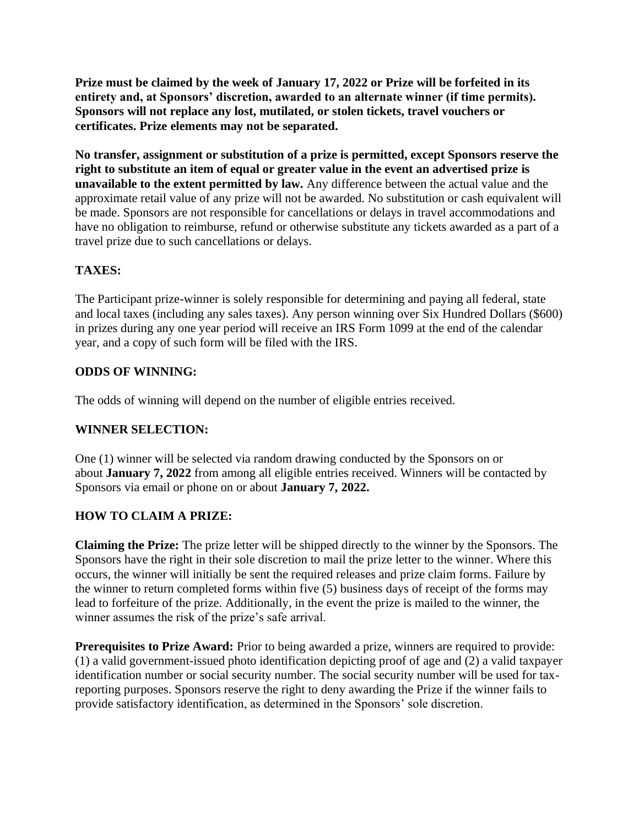**Prize must be claimed by the week of January 17, 2022 or Prize will be forfeited in its entirety and, at Sponsors' discretion, awarded to an alternate winner (if time permits). Sponsors will not replace any lost, mutilated, or stolen tickets, travel vouchers or certificates. Prize elements may not be separated.** 

**No transfer, assignment or substitution of a prize is permitted, except Sponsors reserve the right to substitute an item of equal or greater value in the event an advertised prize is unavailable to the extent permitted by law.** Any difference between the actual value and the approximate retail value of any prize will not be awarded. No substitution or cash equivalent will be made. Sponsors are not responsible for cancellations or delays in travel accommodations and have no obligation to reimburse, refund or otherwise substitute any tickets awarded as a part of a travel prize due to such cancellations or delays.

## **TAXES:**

The Participant prize-winner is solely responsible for determining and paying all federal, state and local taxes (including any sales taxes). Any person winning over Six Hundred Dollars (\$600) in prizes during any one year period will receive an IRS Form 1099 at the end of the calendar year, and a copy of such form will be filed with the IRS.

### **ODDS OF WINNING:**

The odds of winning will depend on the number of eligible entries received.

### **WINNER SELECTION:**

One (1) winner will be selected via random drawing conducted by the Sponsors on or about **January 7, 2022** from among all eligible entries received. Winners will be contacted by Sponsors via email or phone on or about **January 7, 2022.**

## **HOW TO CLAIM A PRIZE:**

**Claiming the Prize:** The prize letter will be shipped directly to the winner by the Sponsors. The Sponsors have the right in their sole discretion to mail the prize letter to the winner. Where this occurs, the winner will initially be sent the required releases and prize claim forms. Failure by the winner to return completed forms within five (5) business days of receipt of the forms may lead to forfeiture of the prize. Additionally, in the event the prize is mailed to the winner, the winner assumes the risk of the prize's safe arrival.

**Prerequisites to Prize Award:** Prior to being awarded a prize, winners are required to provide: (1) a valid government-issued photo identification depicting proof of age and (2) a valid taxpayer identification number or social security number. The social security number will be used for taxreporting purposes. Sponsors reserve the right to deny awarding the Prize if the winner fails to provide satisfactory identification, as determined in the Sponsors' sole discretion.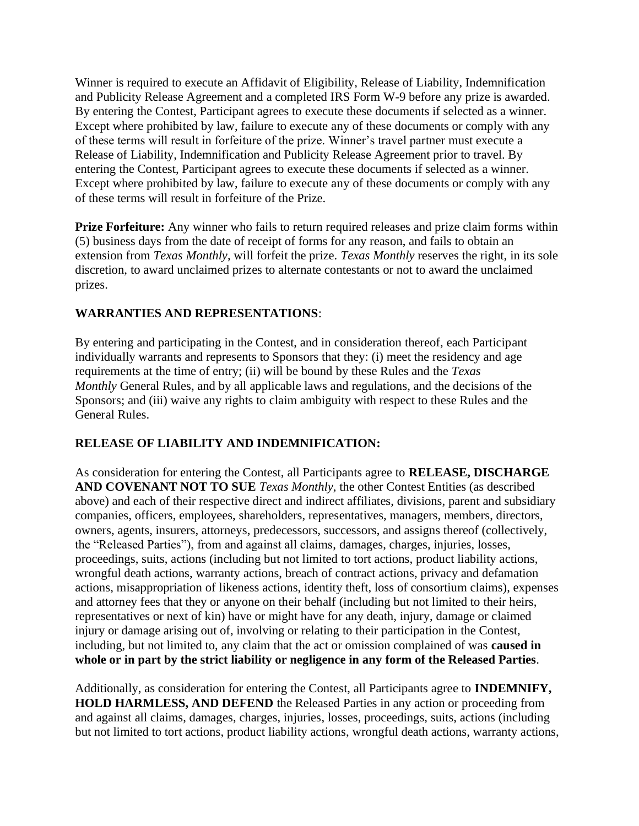Winner is required to execute an Affidavit of Eligibility, Release of Liability, Indemnification and Publicity Release Agreement and a completed IRS Form W-9 before any prize is awarded. By entering the Contest, Participant agrees to execute these documents if selected as a winner. Except where prohibited by law, failure to execute any of these documents or comply with any of these terms will result in forfeiture of the prize. Winner's travel partner must execute a Release of Liability, Indemnification and Publicity Release Agreement prior to travel. By entering the Contest, Participant agrees to execute these documents if selected as a winner. Except where prohibited by law, failure to execute any of these documents or comply with any of these terms will result in forfeiture of the Prize.

**Prize Forfeiture:** Any winner who fails to return required releases and prize claim forms within (5) business days from the date of receipt of forms for any reason, and fails to obtain an extension from *Texas Monthly*, will forfeit the prize. *Texas Monthly* reserves the right, in its sole discretion, to award unclaimed prizes to alternate contestants or not to award the unclaimed prizes.

### **WARRANTIES AND REPRESENTATIONS**:

By entering and participating in the Contest, and in consideration thereof, each Participant individually warrants and represents to Sponsors that they: (i) meet the residency and age requirements at the time of entry; (ii) will be bound by these Rules and the *Texas Monthly* General Rules, and by all applicable laws and regulations, and the decisions of the Sponsors; and (iii) waive any rights to claim ambiguity with respect to these Rules and the General Rules.

### **RELEASE OF LIABILITY AND INDEMNIFICATION:**

As consideration for entering the Contest, all Participants agree to **RELEASE, DISCHARGE AND COVENANT NOT TO SUE** *Texas Monthly*, the other Contest Entities (as described above) and each of their respective direct and indirect affiliates, divisions, parent and subsidiary companies, officers, employees, shareholders, representatives, managers, members, directors, owners, agents, insurers, attorneys, predecessors, successors, and assigns thereof (collectively, the "Released Parties"), from and against all claims, damages, charges, injuries, losses, proceedings, suits, actions (including but not limited to tort actions, product liability actions, wrongful death actions, warranty actions, breach of contract actions, privacy and defamation actions, misappropriation of likeness actions, identity theft, loss of consortium claims), expenses and attorney fees that they or anyone on their behalf (including but not limited to their heirs, representatives or next of kin) have or might have for any death, injury, damage or claimed injury or damage arising out of, involving or relating to their participation in the Contest, including, but not limited to, any claim that the act or omission complained of was **caused in whole or in part by the strict liability or negligence in any form of the Released Parties**.

Additionally, as consideration for entering the Contest, all Participants agree to **INDEMNIFY, HOLD HARMLESS, AND DEFEND** the Released Parties in any action or proceeding from and against all claims, damages, charges, injuries, losses, proceedings, suits, actions (including but not limited to tort actions, product liability actions, wrongful death actions, warranty actions,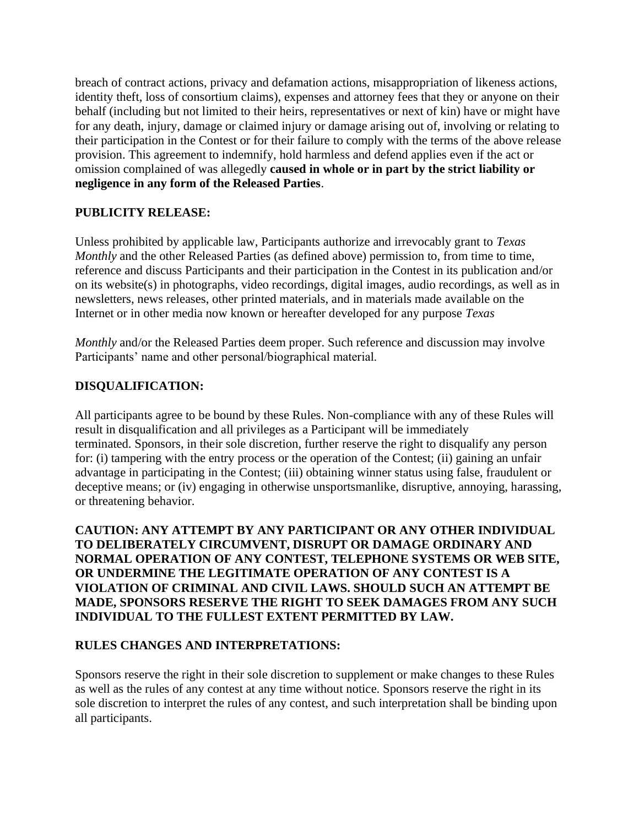breach of contract actions, privacy and defamation actions, misappropriation of likeness actions, identity theft, loss of consortium claims), expenses and attorney fees that they or anyone on their behalf (including but not limited to their heirs, representatives or next of kin) have or might have for any death, injury, damage or claimed injury or damage arising out of, involving or relating to their participation in the Contest or for their failure to comply with the terms of the above release provision. This agreement to indemnify, hold harmless and defend applies even if the act or omission complained of was allegedly **caused in whole or in part by the strict liability or negligence in any form of the Released Parties**.

### **PUBLICITY RELEASE:**

Unless prohibited by applicable law, Participants authorize and irrevocably grant to *Texas Monthly* and the other Released Parties (as defined above) permission to, from time to time, reference and discuss Participants and their participation in the Contest in its publication and/or on its website(s) in photographs, video recordings, digital images, audio recordings, as well as in newsletters, news releases, other printed materials, and in materials made available on the Internet or in other media now known or hereafter developed for any purpose *Texas* 

*Monthly* and/or the Released Parties deem proper. Such reference and discussion may involve Participants' name and other personal/biographical material.

### **DISQUALIFICATION:**

All participants agree to be bound by these Rules. Non-compliance with any of these Rules will result in disqualification and all privileges as a Participant will be immediately terminated. Sponsors, in their sole discretion, further reserve the right to disqualify any person for: (i) tampering with the entry process or the operation of the Contest; (ii) gaining an unfair advantage in participating in the Contest; (iii) obtaining winner status using false, fraudulent or deceptive means; or (iv) engaging in otherwise unsportsmanlike, disruptive, annoying, harassing, or threatening behavior.

**CAUTION: ANY ATTEMPT BY ANY PARTICIPANT OR ANY OTHER INDIVIDUAL TO DELIBERATELY CIRCUMVENT, DISRUPT OR DAMAGE ORDINARY AND NORMAL OPERATION OF ANY CONTEST, TELEPHONE SYSTEMS OR WEB SITE, OR UNDERMINE THE LEGITIMATE OPERATION OF ANY CONTEST IS A VIOLATION OF CRIMINAL AND CIVIL LAWS. SHOULD SUCH AN ATTEMPT BE MADE, SPONSORS RESERVE THE RIGHT TO SEEK DAMAGES FROM ANY SUCH INDIVIDUAL TO THE FULLEST EXTENT PERMITTED BY LAW.** 

### **RULES CHANGES AND INTERPRETATIONS:**

Sponsors reserve the right in their sole discretion to supplement or make changes to these Rules as well as the rules of any contest at any time without notice. Sponsors reserve the right in its sole discretion to interpret the rules of any contest, and such interpretation shall be binding upon all participants.